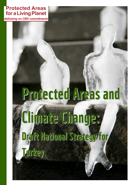**Protected Areas** for a Living Planet

delivering on CBD commitments

# Protected Areas and Climate Change: Draft National Strategy for Turkey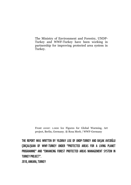The Ministry of Environment and Forestry, UNDP-Turkey and WWF-Turkey have been working in partnership for improving protected area system in Turkey.

Front cover: 1.000 Ice Figures for Global Warming, Art project, Berlin, Germany. ® Rosa Merk / WWF-Germany

THE REPORT WAS WRITTEN BY YILDIRAY LISE OF UNDP-TURKEY AND BAŞAK AVCIOĞLU ÇOKÇALIŞKAN OF WWF-TURKEY UNDER "PROTECTED AREAS FOR A LIVING PLANET PROGRAMME" AND "ENHANCING FOREST PROTECTED AREAS MANAGEMENT SYSTEM IN TURKEY PROJECT".

2010, ANKARA, TURKEY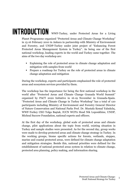### INTRODUCTION WWF-Turkey, under Protected Areas for a Living

Planet Programme organized "Protected Areas and Climate Change Workshop" in 15-16 February 2010 in Ankara in partnership with Ministry of Environment and Forestry, and UNDP-Turkey under joint project of "Enhancing Forest Protected Areas Management System in Turkey". As being one of the first national workshop, leading experts in the world and Turkey came together. The aims of the two day workshop are:

- Explaining the role of protected areas in climate change adaptation and mitigation with samples from world
- Prepare a roadmap for Turkey on the role of protected areas in climate change adaptation and mitigation

During the workshop, experts and participants emphasized the role of protected areas and ecosystem services provided by them.

The workshop has the importance for being the first national workshop in the world after "Protected Areas and Climate Change Granada World Summit" organized by PACT 2020 Initiative in 16-19 November in Granada-Spain. "Protected Areas and Climate Change in Turkey Workshop" has a total of 120 participants including Ministry of Environment and Forestry General Director of Nature Conservation and National Parks Prof. Dr. Mustafa Kemal Yalınkılıç, WWF-Turkey CEO Tolga Baştak, IUCN WCPA Head Nik Lopoukhine, UNDP, Micheal Succow Foundation, national experts and officers.

At the first day of the workshop, global scale of protected areas and climate change, pilot applications about the topic from world, existing situation in Turkey and sample studies were presented. As for the second day, group works were made to develop protected areas and climate change strategy in Turkey. In the working groups, biome specific actions for forests, wetlands, steppes, marine and coastal protected areas, were defined for climate change adaptation and mitigation strategies. Beside this, national priorities were defined for the establishment of national protected areas system in relation to climate change, protected area planning, policy making, and information sharing.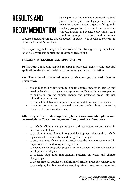## RESULTS AND RECOMMENDATION

Participants of the workshop assessed national protected area system and legal protected areas in Turkey under 5 major targets within 3 main working groups (forest, wetlands and Anatolian steppes, marine and coastal ecosystems). As a result of group discussions and exercises,

protected area and climate change strategy in Turkey was developed coherent to Granada Summit Action Plan.

Five major targets forming the framework of the Strategy were grouped and listed below with sub-targets and recommended actions.

#### TARGET 1: RESEARCH AND APPLICATION

Definition: Conducting applied research in protected areas, testing practical applications, developing model practices on mitigation and adaptation.

#### 1.A. The role of protected areas in risk mitigation and disaster prevention

- to conduct studies for defining climate change impacts in Turkey and develop decision making support systems specific to different ecosystems
- to ensure integrating climate change and protected areas into risk mitigation programmes
- to conduct model/pilot studies on environmental flows at river basins
- to conduct research on protected areas and their role on preventing disasters like floods and landslides.

#### 1.B. Integration to development plans, environmental plans and sectoral plans (forest management plans, land use plans etc.)

- to include climate change impacts and ecosystem carbon value in environmental plans
- to consider climate change in regional development plans and to include higher scale level adaptation and mitigation strategies
- to ensure climate change and protected area themes involvement within major topics of the development agencies
- to ensure developing pilot projects on low carbon and climate resilient development strategies
- to practice adaptation management patterns on water and climate change topics
- to incorporate all studies on definition of priority areas for conservation (gap analysis, key biodiversity areas, important forest areas, important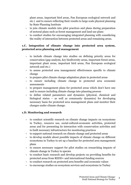plant areas, important bird areas, Pan European ecological network and etc.) and to ensure reflecting their results to large scale physical planning by State Planning Institute

- to join climate models into pilot practices and plans during preparation of sectoral plans such as forest management and land use plans
- to conduct studies for encouraging integrated planning with considering the reality of interaction between protected areas and remaining areas.

#### 1.C. Integration of climate change into protected area system, protected area planning and management

- to include climate change into studies on defining priority areas for conservation (gap analysis, key biodiversity areas, important forest areas, important plant areas, important bird areas, Pan European ecological network and etc.)
- to assess protected area management effectiveness specific to climate change
- to prepare pilot climate change adaptation plans in protected areas
- to ensure including climate change in protected area economic assessments
- to prepare management plans for protected areas which don't have one and to ensure including climate change into planning process
- to define related parameters and dynamics (physical, chemical and biological status – as well as community dynamics) for developing necessary basis for protected area management plans and monitor their changes under climate change.

#### 1.D. Monitoring and research

- to conduct scientific research on climate change impacts on ecosystems in Turkey, resource use, social-cultural-economic activities, protected areas and for presenting its interaction with conservation activities and to built necessary infrastructure for monitoring practices
- to support national research on climate change and protected areas
- to develop models about possible impacts of climate change on different ecosystems in Turkey to set up a baseline for protected area management plans
- to ensure necessary support for pilot studies on researching impacts of climate change in Turkey to species
- to conduct basic research and develop projects on providing benefits for protected areas from REDD+ and international funding sources
- to conduct research on protected area benefits and economic values
- to encourage studies on ecosystem services and ecosystems in Turkey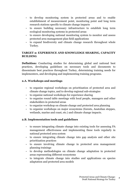- to develop monitoring system in protected areas and to enable establishment of measurement point, monitoring point and long term research stations specific to climate change impacts
- to ensure building necessary infrastructure to establish long term ecological monitoring systems in protected areas
- to ensure developing national monitoring system to monitor and assess protected area management plan field applications
- to expand biodiversity and climate change research throughout whole Turkey.

#### TARGET 2: EXPERIENCE AND KNOWLEDGE SHARING, CAPACITY BUILDING

Definition: Conducting studies for determining global and national best practices, developing guidelines on necessary tools and documents to disseminate best practices throughout Turkey, determining training needs for implementers, and developing and implementing training programs.

#### 2.A. Workshops and meetings

- to organize regional workshops on prioritization of protected area and climate change topics, and to develop regional sub-strategies
- to organize national workshops for experience sharing
- to organize round table meetings with local people, managers and other stakeholders in protected areas
- to organize workshop on climate change and protected area planning
- to organize workshops on major ecosystems (forests, Anatolian steppes, wetlands, marine and coast, etc.) and climate change impacts.

#### 2.B. Implementation tools and guidelines

- to ensure integrating climate change into existing tools for assessing PA management effectiveness and implementing these tools regularly in national protected area system
- to ensure integrating climate change into gap analysis and other site prioritization practices
- to ensure involving climate change in protected area management planning trainings
- to develop methodologies on climate change adaptation in protected areas representing different ecosystems
- to integrate climate change into studies and applications on species adaptation and protected area models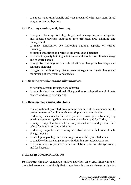**-** to support analyzing benefit and cost associated with ecosystem based adaptation and mitigation.

#### 2.C. Trainings and capacity building

- to organize trainings for integrating climate change impacts, mitigation and species-ecosystem adaptation into protected area planning and management
- to make contribution for increasing national capacity on carbon financing
- to organize trainings on protected area values and benefits
- to conduct capacity building activities for stakeholders on climate change and protected areas
- to organize trainings on the role of climate change in landscape and seascape planning
- to organize trainings for protected area managers on climate change and monitoring of ecosystems and species.

#### 2.D. Sharing experiences and pilot practices

- to develop a system for experience sharing
- to compile global and national pilot practices on adaptation and climate change, and experience sharing.

#### 2.E. Develop maps and spatial tools

- to map national protected area system including all its elements and to present measures for climate change adaptation and mitigation
- to develop measures for future of protected area system by analyzing existing system using climate change models developed for Turkey
- to map ecological networks between protected areas and present their values for adaptation and mitigation
- to develop maps for determining terrestrial areas with lowest climate change impacts
- to develop map of high carbon storage areas within protected areas
- to consider climate change impacts in defining protected area zones
- to develop maps of protected areas in relation to carbon storage, water, and food security.

#### TARGET 3: COMMUNICATION

Definition: Organize campaigns and/or activities on overall importance of protected areas and specifically their importance in climate change mitigation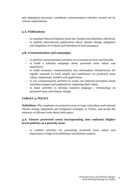and adaptation processes, coordinate communication activities carried out by various organizations.

#### 3.A. Publications

- to translate Natural Solutions book into Turkish and distribute effectively
- to publish international publications about climate change mitigation and adaptation in Turkish and distribute to local managers.

#### 3.B. Communication and campaigns

- to perform communication activities on ecosystem services and benefits
- to build a national campaign about protected areas values and importance
- to build necessary communication and information infrastructure for regular outreach to local people and institutions on protected areas values, importance, borders and applications
- to run communication activities to create one national perception about Anatolian steppes and peatlands by explaining their values
- to make activities to develop common language / terminology on protected areas and climate change.

#### TARGET 4: POLICY

Definition: Play emphasis on protected areas in large scale plans and national climate change adaptation and mitigation strategies in Turkey, and accept the existence of efficient tools about both topics.

#### 4.A. Ensure protected areas incorporating into national (higher level) policies as a priority issue

**-** to conduct activities for presenting protected areas values and importance to high level politicians and decision makers.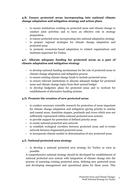#### 4.B. Ensure protected areas incorporating into national climate change adaptation and mitigation strategy and action plans

- to ensure institutions working on protected areas and climate change to conduct joint activities and to have an effective role in strategy preparation
- to ensure protected areas incorporating into national adaptation strategy
- to prepare regional strategies for climate change adaptation and protected areas
- to promote ecosystem-based adaptation to related organizations and institutes important for Turkey.

#### 4.C. Allocate adequate funding for protected areas as a part of climate adaptation and mitigation strategy

- to develop national funding mechanisms for the role of protected areas in climate change adaptation and mitigation process
- to ensure existing climate change funds to include protected areas
- to ensure relevant institutions to allocate adequate budget for protected areas and climate change topics from their annual budget
- to develop budgetary plans for protected areas and to workout for establishment of alternative funding systems.

#### 4.D. Promote the creation of new protected areas

- to conduct necessary scientific research for protection of areas important for climate change adaptation and mitigation (giving priority to marine and coastal areas, Anatolian steppes, peatlands and rivers which area not sufficiently represented within national protected area system)
- to provide support for protection of defined priority areas
- to create national protected area network
- to establish ecological corridors between protected areas and re-create network between fragmented protected areas
- to incorporate climate models in determination of new protected areas.

#### 4.E. National protected area strategy

**-** to develop a national protected area strategy for Turkey as soon as possible.

A comprehensive national strategy should be developed for establishment of national protected area system with integration of climate change into the process of assessing existing protected areas, defining new protected areas and developing management and operational plans for these areas. This